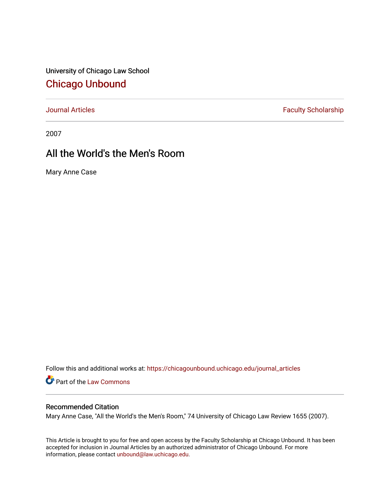University of Chicago Law School [Chicago Unbound](https://chicagounbound.uchicago.edu/)

[Journal Articles](https://chicagounbound.uchicago.edu/journal_articles) **Faculty Scholarship Faculty Scholarship** 

2007

## All the World's the Men's Room

Mary Anne Case

Follow this and additional works at: [https://chicagounbound.uchicago.edu/journal\\_articles](https://chicagounbound.uchicago.edu/journal_articles?utm_source=chicagounbound.uchicago.edu%2Fjournal_articles%2F1095&utm_medium=PDF&utm_campaign=PDFCoverPages) 

Part of the [Law Commons](http://network.bepress.com/hgg/discipline/578?utm_source=chicagounbound.uchicago.edu%2Fjournal_articles%2F1095&utm_medium=PDF&utm_campaign=PDFCoverPages)

## Recommended Citation

Mary Anne Case, "All the World's the Men's Room," 74 University of Chicago Law Review 1655 (2007).

This Article is brought to you for free and open access by the Faculty Scholarship at Chicago Unbound. It has been accepted for inclusion in Journal Articles by an authorized administrator of Chicago Unbound. For more information, please contact [unbound@law.uchicago.edu](mailto:unbound@law.uchicago.edu).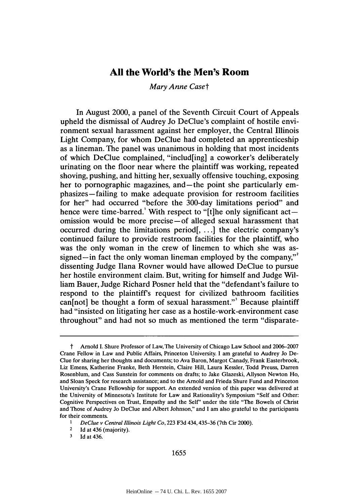## **All the World's the Men's Room**

*Mary Anne Caset*

In August 2000, a panel of the Seventh Circuit Court of Appeals upheld the dismissal of Audrey Jo DeClue's complaint of hostile environment sexual harassment against her employer, the Central Illinois Light Company, for whom DeClue had completed an apprenticeship as a lineman. The panel was unanimous in holding that most incidents of which DeClue complained, "includ[ing] a coworker's deliberately urinating on the floor near where the plaintiff was working, repeated shoving, pushing, and hitting her, sexually offensive touching, exposing her to pornographic magazines, and—the point she particularly emphasizes -failing to make adequate provision for restroom facilities for her" had occurred "before the 300-day limitations period" and hence were time-barred.' With respect to "[t]he only significant actomission would be more precise-of alleged sexual harassment that occurred during the limitations period[, **... ]** the electric company's continued failure to provide restroom facilities for the plaintiff, who was the only woman in the crew of linemen to which she was assigned—in fact the only woman lineman employed by the company,"<sup>2</sup> dissenting Judge Ilana Rovner would have allowed DeClue to pursue her hostile environment claim. But, writing for himself and Judge William Bauer, Judge Richard Posner held that the "defendant's failure to respond to the plaintiff's request for civilized bathroom facilities  $can [not]$  be thought a form of sexual harassment."<sup>3</sup> Because plaintiff had "insisted on litigating her case as a hostile-work-environment case throughout" and had not so much as mentioned the term "disparate-

t Arnold **I.** Shure Professor of Law, The University of Chicago Law School and **2006-2007** Crane Fellow in Law and Public Affairs, Princeton University. **I** am grateful to Audrey **Jo** De-Clue for sharing her thoughts and documents; to Ava Baron, Margot Canady, Frank Easterbrook, Liz Emens, Katherine Franke, Beth Herstein, Claire Hill, Laura Kessler, Todd Preuss, Darren Rosenblum, and Cass Sunstein for comments on drafts; to Jake Glazeski, Allyson Newton Ho, and Sloan Speck for research assistance; and to the Arnold and Frieda Shure Fund and Princeton University's Crane Fellowship for support. An extended version of this paper was delivered at the University of Minnesota's Institute for Law and Rationality's Symposium "Self and Other: Cognitive Perspectives on Trust, Empathy and the Self" under the title "The Bowels of Christ and Those of Audrey Jo DeClue and Albert Johnson," and **I** am also grateful to the participants for their comments.

**<sup>1</sup> DeClue** *v Central Illinois Light Co,* **223 F3d** 434,435-36 (7th Cir 2000).

<sup>&</sup>lt;sup>2</sup> Id at 436 (majority).<br><sup>3</sup> Id at 436

**<sup>3</sup>**Id at 436.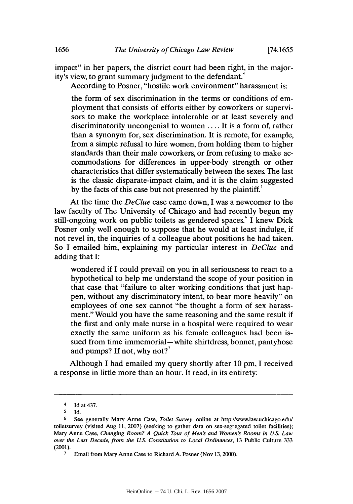impact" in her papers, the district court had been right, in the majority's view, to grant summary judgment to the defendant.

According to Posner, "hostile work environment" harassment is:

the form of sex discrimination in the terms or conditions of employment that consists of efforts either **by** coworkers or supervisors to make the workplace intolerable or at least severely and discriminatorily uncongenial to women **....** It is a form of, rather than a synonym for, sex discrimination. It is remote, for example, from a simple refusal to hire women, from holding them to higher standards than their male coworkers, or from refusing to make accommodations for differences in upper-body strength or other characteristics that differ systematically between the sexes. The last is the classic disparate-impact claim, and it is the claim suggested by the facts of this case but not presented by the plaintiff.<sup>5</sup>

At the time the *DeClue* case came down, **I** was a newcomer to the law faculty of The University of Chicago and had recently begun my still-ongoing work on public toilets as gendered spaces.! **I** knew Dick Posner only well enough to suppose that he would at least indulge, if not revel in, the inquiries of a colleague about positions he had taken. So **I** emailed him, explaining my particular interest in *DeClue* and adding that I:

wondered if **I** could prevail on you in all seriousness to react to a hypothetical to help me understand the scope of your position in that case that "failure to alter working conditions that just happen, without any discriminatory intent, to bear more heavily" on employees of one sex cannot "be thought a form of sex harassment." Would you have the same reasoning and the same result if the first and only male nurse in a hospital were required to wear exactly the same uniform as his female colleagues had been issued from time immemorial—white shirtdress, bonnet, pantyhose and pumps? **If** not, why not?'

Although **I** had emailed my query shortly after **10** pm, **I** received a response in little more than an hour. It read, in its entirety:

<sup>4</sup>**Id** at 437.

**<sup>5</sup> Id.**

See generally Mary Anne Case, *Toilet Survey*, online at http://www.law.uchicago.edu/ toiletsurvey (visited Aug **11, 2007)** (seeking to gather data on sex-segregated toilet facilities); Mary Anne Case, *Changing Room? A Quick Tour of Men's and Women's Rooms in U.S. Law over the Last Decade, from the U.S. Constitution to Local Ordinances,* **13** Public Culture **333** (2001).

**<sup>7</sup>** Email from Mary Anne Case to Richard **A.** Posner (Nov **13, 2000).**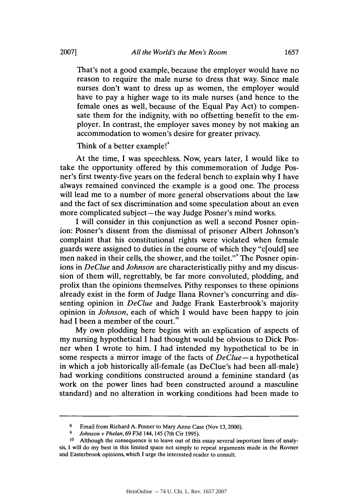That's not a good example, because the employer would have no reason to require the male nurse to dress that way. Since male nurses don't want to dress up as women, the employer would have to pay a higher wage to its male nurses (and hence to the female ones as well, because of the Equal Pay Act) to compensate them for the indignity, with no offsetting benefit to the employer. In contrast, the employer saves money **by** not making an accommodation to women's desire for greater privacy.

Think of a better example!'

At the time, **I** was speechless. Now, years later, **I** would like to take the opportunity offered **by** this commemoration of Judge Posner's first twenty-five years on the federal bench to explain why **I** have always remained convinced the example is a good one. The process will lead me to a number of more general observations about the law and the fact of sex discrimination and some speculation about an even more complicated subject—the way Judge Posner's mind works.

I will consider in this conjunction as well a second Posner opinion: Posner's dissent from the dismissal of prisoner Albert Johnson's complaint that his constitutional rights were violated when female guards were assigned to duties in the course of which they "c[ould] see men naked in their cells, the shower, and the toilet."' The Posner opinions in *DeClue and Johnson* are characteristically pithy and my discussion of them will, regrettably, be far more convoluted, plodding, and prolix than the opinions themselves. Pithy responses to these opinions already exist in the form of Judge Ilana Rovner's concurring and dissenting opinion in *DeClue* and Judge Frank Easterbrook's majority opinion in *Johnson,* each of which **I** would have been happy to join had I been a member of the court.<sup>10</sup>

**My** own plodding here begins with an explication of aspects of my nursing hypothetical **I** had thought would be obvious to Dick Posner when **I** wrote to him. **I** had intended my hypothetical to be in some respects a mirror image of the facts of *DeClue-a* hypothetical in which a **job** historically all-female (as DeClue's had been all-male) had working conditions constructed around a feminine standard (as work on the power lines had been constructed around a masculine standard) and no alteration in working conditions had been made to

**<sup>8</sup>** Email from Richard **A.** Posner to Mary Anne Case (Nov **13,2000).**

*<sup>9</sup> Johnson v Phelan,* **69 F3d** 144, 145 (7th Cir **1995).**

**<sup>10</sup>** Although the consequence is to leave out of this essay several important lines of analysis, **I** will do my best in this limited space not simply to repeat arguments made in the Rovner and Easterbrook opinions, which **I** urge the interested reader to consult.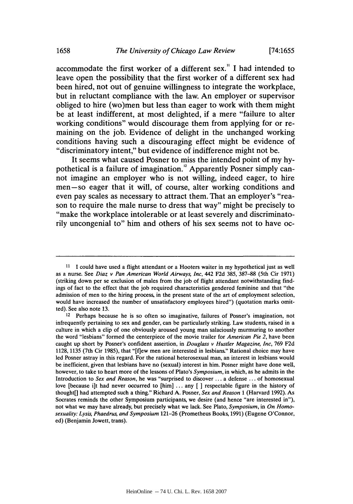accommodate the first worker of a different sex." **I** had intended to leave open the possibility that the first worker of a different sex had been hired, not out of genuine willingness to integrate the workplace, but in reluctant compliance with the law. An employer or supervisor obliged to hire (wo)men but less than eager to work with them might be at least indifferent, at most delighted, if a mere "failure to alter working conditions" would discourage them from applying for or remaining on the **job.** Evidence of delight in the unchanged working conditions having such a discouraging effect might be evidence of "discriminatory intent," but evidence of indifference might not be.

It seems what caused Posner to miss the intended point of my **hy**pothetical is a failure of imagination." Apparently Posner simply cannot imagine an employer who is not willing, indeed eager, to hire men-so eager that it will, of course, alter working conditions and even pay scales as necessary to attract them. That an employer's "reason to require the male nurse to dress that way" might be precisely to "make the workplace intolerable or at least severely and discriminatorily uncongenial to" him and others of his sex seems not to have oc-

**<sup>11</sup>** I could have used a flight attendant or a Hooters waiter in my hypothetical just as well as a nurse. See *Diaz v Pan American World Airways, Inc,* 442 **F2d 385, 387-88** (5th Cir **1971)** (striking down per se exclusion of males from the **job** of flight attendant notwithstanding findings of fact to the effect that the **job** required characteristics gendered feminine and that "the admission of men to the hiring process, in the present state of the art of employment selection, would have increased the number of unsatisfactory employees hired") (quotation marks omitted). See also note **13.**

<sup>&</sup>lt;sup>12</sup> Perhaps because he is so often so imaginative, failures of Posner's imagination, not infrequently pertaining to sex and gender, can be particularly striking. Law students, raised in a culture in which a clip of one obviously aroused young man salaciously murmuring to another the word "lesbians" formed the centerpiece of the movie trailer for *American Pie 2,* have been caught up short **by** Posner's confident assertion, in *Douglass v Hustler Magazine, Inc,* **769 F2d 1128, 1135** (7th Cir **1985),** that "[flew men are interested in lesbians." Rational choice may have led Posner astray in this regard. For the rational heterosexual man, an interest in lesbians would be inefficient, given that lesbians have no (sexual) interest in him. Posner might have done well, however, to take to heart more of the lessons of Plato's *Symposium,* in which, as he admits in the Introduction to *Sex and Reason,* he was "surprised to discover **...** a defense **...** of homosexual love [because i]t had never occurred to [him] **...** any *[ ]* respectable figure in the history of thought[] had attempted such a thing." Richard **A.** Posner, *Sex and Reason 1* (Harvard **1992).** As Socrates reminds the other Symposium participants, we desire (and hence "are interested in"), not what we may have already, but precisely what we lack. See Plato, *Symposium, in On Homosexuality: Lysis,* Phaedrus, and Symposium **121-26** (Prometheus Books, **1991)** (Eugene O'Connor, ed) (Benjamin Jowett, trans).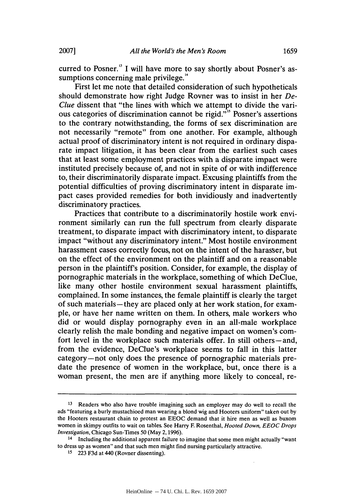curred to Posner." I will have more to say shortly about Posner's assumptions concerning male privilege."

First let me note that detailed consideration of such hypotheticals should demonstrate how right Judge Rovner was to insist in her *De-Clue* dissent that "the lines with which we attempt to divide the various categories of discrimination cannot be rigid."<sup>15</sup> Posner's assertions to the contrary notwithstanding, the forms of sex discrimination are not necessarily "remote" from one another. For example, although actual proof of discriminatory intent is not required in ordinary disparate impact litigation, it has been clear from the earliest such cases that at least some employment practices with a disparate impact were instituted precisely because of, and not in spite of or with indifference to, their discriminatorily disparate impact. Excusing plaintiffs from the potential difficulties of proving discriminatory intent in disparate impact cases provided remedies for both invidiously and inadvertently discriminatory practices.

Practices that contribute to a discriminatorily hostile work environment similarly can run the full spectrum from clearly disparate treatment, to disparate impact with discriminatory intent, to disparate impact "without any discriminatory intent." Most hostile environment harassment cases correctly focus, not on the intent of the harasser, but on the effect of the environment on the plaintiff and on a reasonable person in the plaintiffs position. Consider, for example, the display of pornographic materials in the workplace, something of which DeClue, like many other hostile environment sexual harassment plaintiffs, complained. In some instances, the female plaintiff is clearly the target of such materials—they are placed only at her work station, for example, or have her name written on them. In others, male workers who did or would display pornography even in an all-male workplace clearly relish the male bonding and negative impact on women's comfort level in the workplace such materials offer. In still others-and, from the evidence, DeClue's workplace seems to fall in this latter category-not only does the presence of pornographic materials predate the presence of women in the workplace, but, once there is a woman present, the men are if anything more likely to conceal, re-

<sup>&</sup>lt;sup>13</sup> Readers who also have trouble imagining such an employer may do well to recall the ads "featuring a burly mustachioed man wearing a blond wig and Hooters uniform" taken out **by** the Hooters restaurant chain to protest an **EEOC** demand that it hire men as well as buxom women in skimpy outfits to wait on tables. See Harry **F** Rosenthal, *Hooted Down, EEOC Drops Investigation,* Chicago Sun-Times *50* (May **2,1996).**

<sup>&</sup>lt;sup>14</sup> Including the additional apparent failure to imagine that some men might actually "want to dress up as women" and that such men might find nursing particularly attractive.

**<sup>15</sup>223 F3d** at 440 (Rovner dissenting).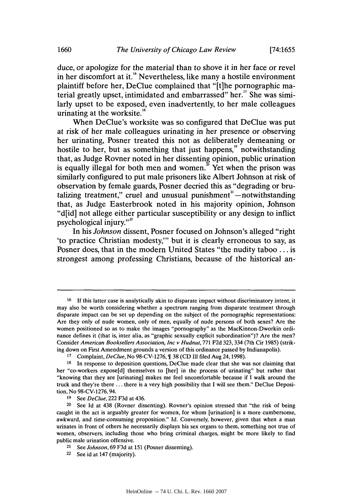duce, or apologize for the material than to shove it in her face or revel in her discomfort at **it.16** Nevertheless, like many a hostile environment plaintiff before her, DeClue complained that "[tihe pornographic material greatly upset, intimidated and embarrassed" her." She was similarly upset to be exposed, even inadvertently, to her male colleagues urinating at the worksite.<sup>1</sup>

When DeClue's worksite was so configured that DeClue was put at risk of her male colleagues urinating in her presence or observing her urinating, Posner treated this not as deliberately demeaning or hostile to her, but as something that just happens," notwithstanding that, as Judge Rovner noted in her dissenting opinion, public urination is equally illegal for both men and women.<sup> $\bar{m}$ </sup> Yet when the prison was similarly configured to put male prisoners like Albert Johnson at risk of observation **by** female guards, Posner decried this as "degrading or brutalizing treatment," cruel and unusual punishment $n =$ notwithstanding that, as Judge Easterbrook noted in his majority opinion, Johnson "d[id] not allege either particular susceptibility or any design to inflict psychological injury.""

In his *Johnson* dissent, Posner focused on Johnson's alleged "right 'to practice Christian modesty,"' but it is clearly erroneous to say, as Posner does, that in the modern United States "the nudity taboo **...** is strongest among professing Christians, because of the historical an-

**<sup>16</sup>If** this latter case is analytically akin to disparate impact without discriminatory intent, it may also be worth considering whether a spectrum ranging from disparate treatment through disparate impact can be set up depending on the subject of the pornographic representations: Are they only of nude women, only of men, equally of nude persons of both sexes? Are the women positioned so as to make the images "pornography" as the MacKinnon-Dworkin ordinance defines it (that is, inter alia, as "graphic sexually explicit subordination")? Are the men? Consider *American Booksellers Association, Inc v Hudnut,* **771 F2d 323,** 334 (7th Cir **1985)** (striking down on First Amendment grounds a version of this ordinance passed **by** Indianapolis).

**<sup>17</sup>**Complaint, *DeClue,* No **98-CV-1276, 1 38 (CD Ill** filed Aug 24, 1998).

**<sup>18</sup>** In response to deposition questions, DeClue made clear that she was not claiming that her "co-workers expose[d] themselves to [her] in the process of urinating" but rather that "knowing that they are [urinating] makes me feel uncomfortable because if **I** walk around the truck and they're there **...** there is a very high possibility that **I** will see them." DeClue Deposition, No **98-CV-1276, 94.**

**<sup>19</sup>** See DeClue, 222 **F3d** at 436.

**<sup>20</sup>**See **Id** at 438 (Rovner dissenting). Rovner's opinion stressed that "the risk of being caught in the act is arguably greater for women, for whom [urination] is a more cumbersome, awkward, and time-consuming proposition." **Id.** Conversely, however, given that when a man urinates in front of others he necessarily displays his sex organs to them, something not true of women, observers, including those who bring criminal charges, might be more likely to find public male urination offensive.

**<sup>21</sup>**See *Johnson,* **69 F3d** at **151** (Posner dissenting).

<sup>&</sup>lt;sup>22</sup> See id at 147 (majority).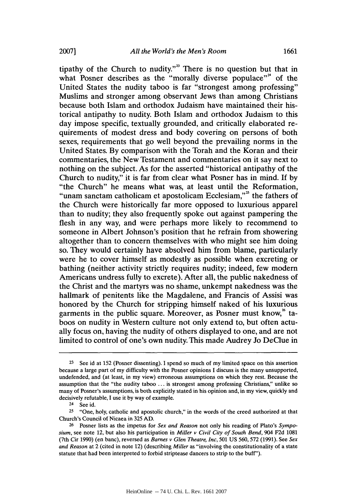tipathy of the Church to nudity."<sup>3</sup> There is no question but that in what Posner describes as the "morally diverse populace"<sup>4</sup> of the United States the nudity taboo is far "strongest among professing" Muslims and stronger among observant Jews than among Christians because both Islam and orthodox Judaism have maintained their historical antipathy to nudity. Both Islam and orthodox Judaism to this day impose specific, textually grounded, and critically elaborated requirements of modest dress and body covering on persons of both sexes, requirements that go well beyond the prevailing norms in the United States. **By** comparison with the Torah and the Koran and their commentaries, the New Testament and commentaries on it say next to nothing on the subject. As for the asserted "historical antipathy of the Church to nudity," it is far from clear what Posner has in mind. **If by** "the Church" he means what was, at least until the Reformation, "unam sanctam catholicam et apostolicam Ecclesiam,"<sup>2</sup> the fathers of the Church were historically far more opposed to luxurious apparel than to nudity; they also frequently spoke out against pampering the flesh in any way, and were perhaps more likely to recommend to someone in Albert Johnson's position that he refrain from showering altogether than to concern themselves with who might see him doing so. They would certainly have absolved him from blame, particularly were he to cover himself as modestly as possible when excreting or bathing (neither activity strictly requires nudity; indeed, few modem Americans undress fully to excrete). After all, the public nakedness of the Christ and the martyrs was no shame, unkempt nakedness was the hallmark of penitents like the Magdalene, and Francis of Assisi was honored **by** the Church for stripping himself naked of his luxurious garments in the public square. Moreover, as Posner must know,<sup>26</sup> taboos on nudity in Western culture not only extend to, but often actually focus on, having the nudity of others displayed to one, and are not limited to control of one's own nudity. This made Audrey Jo DeClue in

**<sup>23</sup>**See id at **152** (Posner dissenting). **I** spend so much of my limited space on this assertion because a large part of my difficulty with the Posner opinions **I** discuss is the many unsupported, undefended, and (at least, in my view) erroneous assumptions on which they rest. Because the assumption that the "the nudity taboo **...** is strongest among professing Christians," unlike so many of Posner's assumptions, is both explicitly stated in his opinion and, in my view, quickly and decisively refutable, I use it **by** way of example.

<sup>24</sup> See id.

**<sup>25</sup>**"One, holy, catholic and apostolic church," in the words of the creed authorized at that Church's Council of Nicaea in **325 AD.**

**<sup>26</sup>** Posner lists as the impetus for *Sex and Reason* not only his reading of Plato's *Symposium,* see note 12, but also his participation in *Miller v Civil City of South Bend,* 904 **F2d 1081** (7th Cir **1990)** (en banc), reversed as *Barnes v Glen Theatre, Inc,* **501 US 560, 572 (1991).** See *Sex and Reason* at 2 (cited in note 12) (describing *Miller* as "involving the constitutionality of a state statute that had been interpreted to forbid striptease dancers to strip to the buff").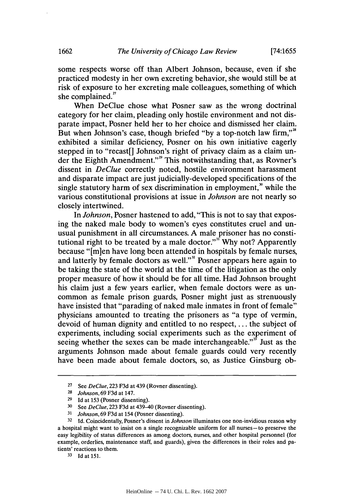some respects worse off than Albert Johnson, because, even if she practiced modesty in her own excreting behavior, she would still be at risk of exposure to her excreting male colleagues, something of which she complained.<sup>27</sup>

When DeClue chose what Posner saw as the wrong doctrinal category for her claim, pleading only hostile environment and not disparate impact, Posner held her to her choice and dismissed her claim. But when Johnson's case, though briefed "by a top-notch law firm,"<sup>28</sup> exhibited a similar deficiency, Posner on his own initiative eagerly stepped in to "recast[] Johnson's right of privacy claim as a claim under the Eighth Amendment."<sup>29</sup> This notwithstanding that, as Rovner's dissent in *DeClue* correctly noted, hostile environment harassment and disparate impact are just judicially-developed specifications of the single statutory harm of sex discrimination in employment, $\alpha$  while the various constitutional provisions at issue in *Johnson* are not nearly so closely intertwined.

*In Johnson,* Posner hastened to add, "This is not to say that exposing the naked male body to women's eyes constitutes cruel and unusual punishment in all circumstances. **A** male prisoner has no constitutional right to be treated by a male doctor."<sup>31</sup> Why not? Apparently because "[m]en have long been attended in hospitals **by** female nurses, and latterly by female doctors as well."<sup>32</sup> Posner appears here again to be taking the state of the world at the time of the litigation as the only proper measure of how it should be for all time. Had Johnson brought his claim just a few years earlier, when female doctors were as uncommon as female prison guards, Posner might just as strenuously have insisted that "parading of naked male inmates in front of female" physicians amounted to treating the prisoners as "a type of vermin, devoid of human dignity and entitled to no respect, **...** the subject of experiments, including social experiments such as the experiment of seeing whether the sexes can be made interchangeable."<sup>35</sup> Just as the arguments Johnson made about female guards could very recently have been made about female doctors, so, as Justice Ginsburg ob-

**33 Id** at **151.**

**<sup>27</sup>***See DeClue,* **223 F3d** at 439 (Rovner dissenting).

**<sup>28</sup>***Johnson, 69* **F3d** at 147.

**<sup>29</sup>**Id at **153** (Posner dissenting).

**<sup>30</sup>***See DeClue,* **223 F3d** at 439-40 (Rovner dissenting).

**<sup>31</sup>***Johnson,* **69 F3d** at 154 (Posner dissenting).

**<sup>32</sup>Id.** Coincidentally, Posner's dissent in *Johnson* illuminates one non-invidious reason why a hospital might want to insist on a single recognizable uniform for all nurses-to preserve the easy legibility of status differences as among doctors, nurses, and other hospital personnel (for example, orderlies, maintenance staff, and guards), given the differences in their roles and patients' reactions to them.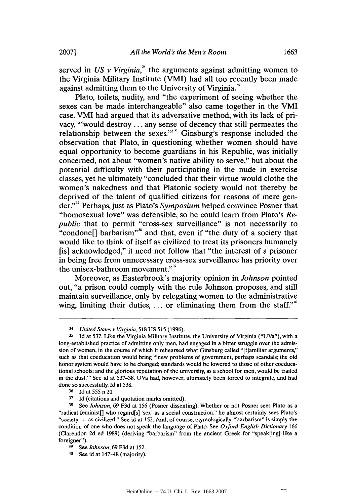Plato, toilets, nudity, and "the experiment of seeing whether the sexes can be made interchangeable" also came together in the VMI case. VMI had argued that its adversative method, with its lack of privacy, "'would destroy **...** any sense of decency that still permeates the relationship between the sexes."<sup>36</sup> Ginsburg's response included the observation that Plato, in questioning whether women should have equal opportunity to become guardians in his Republic, was initially concerned, not about "women's native ability to serve," but about the potential difficulty with their participating in the nude in exercise classes, yet he ultimately "concluded that their virtue would clothe the women's nakedness and that Platonic society would not thereby be deprived of the talent of qualified citizens for reasons of mere gender."7 Perhaps, just as Plato's *Symposium* helped convince Posner that "homosexual love" was defensible, so he could learn from Plato's *Republic* that to permit "cross-sex surveillance" is not necessarily to "condone[] barbarism"" and that, even if "the duty of a society that would like to think of itself as civilized to treat its prisoners humanely [is] acknowledged," it need not follow that "the interest of a prisoner in being free from unnecessary cross-sex surveillance has priority over the unisex-bathroom movement."<sup>39</sup>

Moreover, as Easterbrook's majority opinion in *Johnson* pointed out, "a prison could comply with the rule Johnson proposes, and still maintain surveillance, only **by** relegating women to the administrative wing, limiting their duties,  $\ldots$  or eliminating them from the staff."<sup> $\omega$ </sup>

<sup>34</sup>*United States v Virginia,* **518 US 515 (1996).**

**<sup>35</sup>Id** at **537.** Like the Virginia Military Institute, the University of Virginia ("UVa"), with a long-established practice of admitting only men, had engaged in a bitter struggle over the admission of women, in the course of which it rehearsed what Ginsburg called "[flamiliar arguments," such as that coeducation would bring "'new problems of government, perhaps scandals; the old honor system would have to be changed; standards would be lowered to those of other coeducational schools; and the glorious reputation of the university, as a school for men, would be trailed in the dust."' See id at **537-38.** UVa had, however, ultimately been forced to integrate, and had done so successfully. **Id** at **538.**

**<sup>36</sup>**Id at **555** n 20.

**<sup>37</sup>Id** (citations and quotation marks omitted).

**<sup>38</sup>***See Johnson,* **69 F3d** at **156** (Posner dissenting). Whether or not Posner sees Plato as a "radical feminist[] who regard[s] 'sex' as a social construction," he almost certainly sees Plato's "society **...** as civilized." See id at **152.** And, of course, etymologically, "barbarism" is simply the condition of one who does not speak the language of Plato. See *Oxford English Dictionary 166* (Clarendon **2d** ed **1989)** (deriving "barbarism" from the ancient Greek for "speak[ing] like a foreigner").

**<sup>39</sup>**See *Johnson,* **69 F3d** at **152.**

<sup>40</sup> See id at  $147-48$  (majority).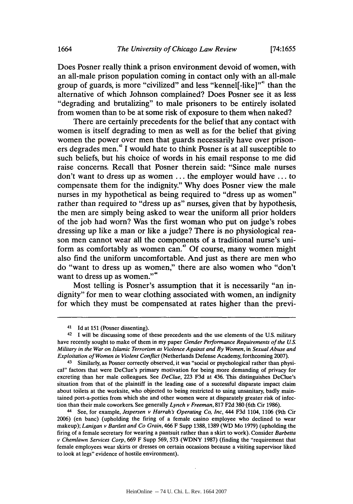Does Posner really think a prison environment devoid of women, with an all-male prison population coming in contact only with an all-male group of guards, is more "civilized" and less "kennel[-like]"" than the alternative of which Johnson complained? Does Posner see it as less "degrading and brutalizing" to male prisoners to be entirely isolated from women than to be at some risk of exposure to them when naked?

There are certainly precedents for the belief that any contact with women is itself degrading to men as well as for the belief that giving women the power over men that guards necessarily have over prisoners degrades men.42 **I** would hate to think Posner is at all susceptible to such beliefs, but his choice of words in his email response to me did raise concerns. Recall that Posner therein said: "Since male nurses don't want to dress up as women **...** the employer would have **...** to compensate them for the indignity." **Why** does Posner view the male nurses in my hypothetical as being required to "dress up as women" rather than required to "dress up as" nurses, given that **by** hypothesis, the men are simply being asked to wear the uniform all prior holders of the **job** had worn? Was the first woman who put on judge's robes dressing up like a man or like a judge? There is no physiological reason men cannot wear all the components of a traditional nurse's uniform as comfortably as women can.43 **Of** course, many women might also find the uniform uncomfortable. And just as there are men who do "want to dress up as women," there are also women who "don't want to dress up as women."<sup>44</sup>

Most telling is Posner's assumption that it is necessarily "an indignity" for men to wear clothing associated with women, an indignity for which they must be compensated at rates higher than the previ-

**<sup>41</sup>**Id at **151** (Posner dissenting).

**<sup>42</sup>**I will be discussing some of these precedents and the use elements of the **U.S.** military have recently sought to make of them in my paper *Gender Performance Requirements of the US. Military in the War on Islamic Terrorism as Violence Against and By Women, in Sexual Abuse and Exploitation of Women in Violent Conflict* (Netherlands Defense Academy, forthcoming **2007).**

**<sup>43</sup>** Similarly, as Posner correctly observed, it was "social or psychological rather than physical" factors that were DeClue's primary motivation for being more demanding of privacy for excreting than her male colleagues. See *DeClue,* **223 F3d** at 436. This distinguishes DeClue's situation from that of the plaintiff in the leading case of a successful disparate impact claim about toilets at the worksite, who objected to being restricted to using unsanitary, badly maintained port-a-potties from which she and other women were at disparately greater risk of infection than their male coworkers. See generally *Lynch v Freeman,* **817 F2d 380** (6th Cir **1986).**

<sup>44</sup> See, for example, *Jespersen v Harrah's Operating Co, Inc,* 444 **F3d** 1104, **1106** (9th Cir **2006)** (en banc) (upholding the firing of a female casino employee who declined to wear makeup); *Lanigan v Bartlett and Co Grain,* 466 F Supp **1388, 1389** (WD Mo **1979)** (upholding the firing of a female secretary for wearing a pantsuit rather than a skirt to work). Consider *Barbetta v Chemlawn Services Corp,* **669** F Supp **569, 573** (WDNY **1987)** (finding the "requirement that female employees wear skirts or dresses on certain occasions because a visiting supervisor liked to look at legs" evidence of hostile environment).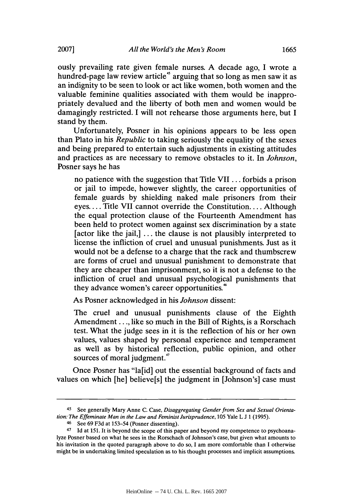ously prevailing rate given female nurses. **A** decade ago, **I** wrote a hundred-page law review article" arguing that so long as men saw it as an indignity to be seen to look or act like women, both women and the valuable feminine qualities associated with them would be inappropriately devalued and the liberty of both men and women would be damagingly restricted. **I** will not rehearse those arguments here, but **I** stand **by** them.

Unfortunately, Posner in his opinions appears to be less open than Plato in his *Republic* to taking seriously the equality of the sexes and being prepared to entertain such adjustments in existing attitudes and practices as are necessary to remove obstacles to it. In *Johnson,* Posner says he has

no patience with the suggestion that Title VII **...** forbids a prison or jail to impede, however slightly, the career opportunities of female guards **by** shielding naked male prisoners from their eyes. . . **.** Title VII cannot override the Constitution.... Although the equal protection clause of the Fourteenth Amendment has been held to protect women against sex discrimination **by** a state [actor like the jail,] **...** the clause is not plausibly interpreted to license the infliction of cruel and unusual punishments. Just as it would not be a defense to a charge that the rack and thumbscrew are forms of cruel and unusual punishment to demonstrate that they are cheaper than imprisonment, so it is not a defense to the infliction of cruel and unusual psychological punishments that they advance women's career opportunities.

As Posner acknowledged in his *Johnson* dissent:

The cruel and unusual punishments clause of the Eighth Amendment . . ., like so much in the Bill of Rights, is a Rorschach test. What the judge sees in it is the reflection of his or her own values, values shaped **by** personal experience and temperament as well as **by** historical reflection, public opinion, and other sources of moral judgment."

Once Posner has "la[id] out the essential background of facts and values on which [he] believe[s] the judgment in [Johnson's] case must

<sup>45</sup> See generally Mary Anne **C.** Case, **Disaggregating Gender from Sex and Sexual Orienta***tion:* The Effeminate Man in the Law and Feminist **Jurisprudence, 105** Yale L **J 1 (1995).**

<sup>46</sup> See **69 F3d** at **153-54** (Posner dissenting).

*<sup>47</sup>* **Id** at **151.** It is beyond the scope of this paper and beyond my competence to psychoanalyze Posner based on what he sees in the Rorschach of Johnson's case, but given what amounts to his invitation in the quoted paragraph above to do so, **I** am more comfortable than **I** otherwise might be in undertaking limited speculation as to his thought processes and implicit assumptions.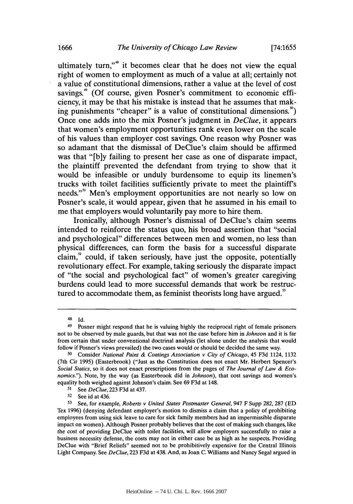ultimately turn,"" it becomes clear that he does not view the equal right of women to employment as much of a value at all; certainly not a value of constitutional dimensions, rather a value at the level of cost savings.<sup>49</sup> (Of course, given Posner's commitment to economic efficiency, it may be that his mistake is instead that he assumes that making punishments "cheaper" is a value of constitutional dimensions. $\mathcal{L}$ ) Once one adds into the mix Posner's judgment in *DeClue,* it appears that women's employment opportunities rank even lower on the scale of his values than employer cost savings. One reason why Posner was so adamant that the dismissal of DeClue's claim should be affirmed was that **"[b]y** failing to present her case as one of disparate impact, the plaintiff prevented the defendant from trying to show that it would be infeasible or unduly burdensome to equip its linemen's trucks with toilet facilities sufficiently private to meet the plaintiffs needs."<sup>3</sup> Men's employment opportunities are not nearly so low on Posner's scale, it would appear, given that he assumed in his email to me that employers would voluntarily pay more to hire them.

Ironically, although Posner's dismissal of DeClue's claim seems intended to reinforce the status quo, his broad assertion that "social and psychological" differences between men and women, no less than physical differences, can form the basis for a successful disparate  $claim<sup>2</sup> \text{ could, if taken seriously, have just the opposite, potentially}$ revolutionary effect. For example, taking seriously the disparate impact of "the social and psychological fact" of women's greater caregiving burdens could lead to more successful demands that work be restructured to accommodate them, as feminist theorists long have argued.<sup>3</sup>

<sup>48</sup> **Id.**

<sup>49</sup> Posner might respond that he is valuing **highly** the reciprocal right of female prisoners not to be observed **by** male guards, but that was not the case before him in *Johnson* and it is far from certain that under conventional doctrinal analysis (let alone under the analysis that would follow if Posner's views prevailed) the two cases would or should be decided the same way.

**<sup>50</sup>**Consider *National Paint & Coatings Association v City of Chicago,* 45 **F3d** 1124, **1132** (7th Cir **1995)** (Easterbrook) ("Just as the Constitution does not enact Mr. Herbert Spencer's *Social Statics,* so it does not enact prescriptions from the pages of *The Journal of Law & Economics.").* Note, **by** the way (as Easterbrook did in *Johnson),* that cost savings and women's equality both weighed against Johnson's claim. See **69 F3d** at 148.

**<sup>51</sup>***See* **DeClue, 223 F3d** at 437.

<sup>52</sup> See id at 436.

**<sup>53</sup>**See, for example, *Roberts v United States Postmaster General, 947* F Supp **282, 287 (ED** Tex **1996)** (denying defendant employer's motion to dismiss a claim that a policy of prohibiting employees from using sick leave to care for sick family members had an impermissible disparate impact on women). Although Posner probably believes that the cost of making such changes, like the cost of providing DeClue with toilet facilities, will allow employers successfully to raise a business necessity defense, the costs may not in either case be as high as he suspects. Providing DeClue with "Brief Reliefs" seemed not to be prohibitively expensive for the Central Illinois Light Company. See *DeClue,* **223 F3d** at 438. And, as Joan **C.** Williams and Nancy Segal argued in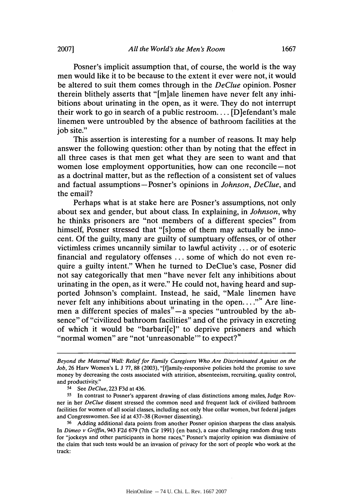Posner's implicit assumption that, of course, the world is the way men would like it to be because to the extent it ever were not, it would be altered to suit them comes through in the *DeClue* opinion. Posner therein blithely asserts that "[m]ale linemen have never felt any inhibitions about urinating in the open, as it were. They do not interrupt their work to go in search of a public restroom.... [D]efendant's male linemen were untroubled **by** the absence of bathroom facilities at the **job** site."

This assertion is interesting for a number of reasons. It may help answer the following question: other than **by** noting that the effect in all three cases is that men get what they are seen to want and that women lose employment opportunities, how can one reconcile-not as a doctrinal matter, but as the reflection of a consistent set of values and factual assumptions-Posner's opinions in *Johnson, DeClue,* and the email?

Perhaps what is at stake here are Posner's assumptions, not only about sex and gender, but about class. In explaining, in *Johnson, why* he thinks prisoners are "not members of a different species" from himself, Posner stressed that "[s]ome of them may actually be innocent. **Of** the guilty, many are guilty of sumptuary offenses, or of other victimless crimes uncannily similar to lawful activity **...** or of esoteric financial and regulatory offenses **...** some of which do not even require a guilty intent." When he turned to DeClue's case, Posner did not say categorically that men "have never felt any inhibitions about urinating in the open, as it were." He could not, having heard and supported Johnson's complaint. Instead, he said, "Male linemen have never felt any inhibitions about urinating in the open...."<sup>54</sup> Are linemen a different species of males"-a species "untroubled **by** the absence" of "civilized bathroom facilities" and of the privacy in excreting of which it would be "barbari[c]" to deprive prisoners and which "normal women" are "not 'unreasonable"' to expect?"

*Beyond the Maternal Wall: Relief for Family Caregivers Who Are Discriminated Against on the Job,* **26** Harv Women's L **J 77, 88 (2003),** "[flamily-responsive policies hold the promise to save money **by** decreasing the costs associated with attrition, absenteeism, recruiting, quality control, and productivity."

<sup>54</sup> See *DeClue,* **223 F3d** at 436.

**<sup>55</sup>** In contrast to Posner's apparent drawing of class distinctions among males, Judge Rovner in her *DeClue* dissent stressed the common need and frequent lack of civilized bathroom facilities for women of all social classes, including not only blue collar women, but federal judges and Congresswomen. See id at **437-38** (Rovner dissenting).

**<sup>56</sup>**Adding additional data points from another Posner opinion sharpens the class analysis. *In Dimeo v Griffin,* 943 **F2d 679** (7th Cir **1991)** (en banc), a case challenging random drug tests for "jockeys and other participants in horse races," Posner's majority opinion was dismissive of the claim that such tests would be an invasion of privacy for the sort of people who work at the track: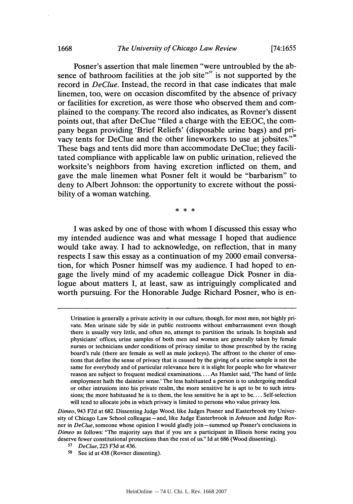Posner's assertion that male linemen "were untroubled **by** the absence of bathroom facilities at the **job** site"" is not supported **by** the record in *DeClue.* Instead, the record in that case indicates that male linemen, too, were on occasion discomfited **by** the absence of privacy or facilities for excretion, as were those who observed them and complained to the company. The record also indicates, as Rovner's dissent points out, that after DeClue "filed a charge with the **EEOC,** the company began providing 'Brief Reliefs' (disposable urine bags) and privacy tents for DeClue and the other lineworkers to use at jobsites."" These bags and tents did more than accommodate DeClue; they facilitated compliance with applicable law on public urination, relieved the worksite's neighbors from having excretion inflicted on them, and gave the male linemen what Posner felt it would be "barbarism" to deny to Albert Johnson: the opportunity to excrete without the possibility of a woman watching.

 $\rightarrow$ 

**I** was asked **by** one of those with whom **I** discussed this essay who my intended audience was and what message **I** hoped that audience would take away. **I** had to acknowledge, on reflection, that in many respects **I** saw this essay as a continuation of my 2000 email conversation, for which Posner himself was my audience. **I** had hoped to engage the lively mind of my academic colleague Dick Posner in dialogue about matters **I,** at least, saw as intriguingly complicated and worth pursuing. For the Honorable Judge Richard Posner, who is en-

*Dimeo,* 943 **F2d** at **682.** Dissenting Judge Wood, like Judges Posner and Easterbrook my University of Chicago Law School colleague-and, like Judge Easterbrook in *Johnson* and Judge Rovner in **DeClue,** someone whose opinion **I** would gladly join-summed up Posner's conclusions in *Dimeo* as follows: "The majority says that if you are a participant in Illinois horse racing you deserve fewer constitutional protections than the rest of us." Id at **686** (Wood dissenting).

Urination is generally a private activity in our culture, though, for most men, not **highly** private. Men urinate side **by** side in public restrooms without embarrassment even though there is usually very little, and often no, attempt to partition the urinals. In hospitals and physicians' offices, urine samples of both men and women are generally taken **by** female nurses or technicians under conditions of privacy similar to those prescribed **by** the racing board's rule (there are female as well as male jockeys). The affront to the cluster of emotions that define the sense of privacy that is caused **by** the giving of a urine sample is not the same for everybody and of particular relevance here it is slight for people who for whatever reason are subject to frequent medical examinations... As Hamlet said,'The hand of little employment hath the daintier sense.' The less habituated a person is to undergoing medical or other intrusions into his private realm, the more sensitive he is apt to be to such intrusions; the more habituated he is to them, the less sensitive he is apt to **be....** Self-selection will tend to allocate jobs in which privacy is limited to persons who value privacy less.

*<sup>57</sup>***DeClue, 223 F3d** at 436.

<sup>&</sup>lt;sup>58</sup> See id at 438 (Rovner dissenting).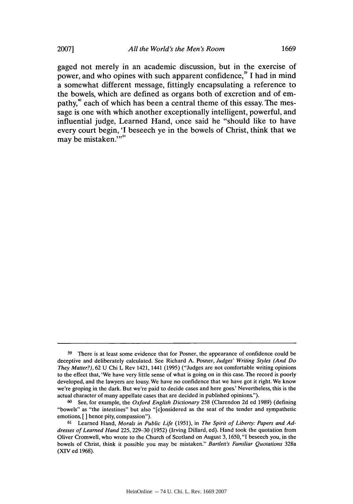gaged not merely in an academic discussion, but in the exercise of power, and who opines with such apparent confidence, $\degree$  I had in mind a somewhat different message, fittingly encapsulating a reference to the bowels, which are defined as organs both of excretion and of empathy,<sup>6</sup> each of which has been a central theme of this essay. The message is one with which another exceptionally intelligent, powerful, and influential judge, Learned Hand, once said he "should like to have every court begin, 'I beseech ye in the bowels of Christ, think that we may be mistaken."<sup>51</sup>

**<sup>59</sup>**There is at least some evidence that for Posner, the appearance of confidence could be deceptive and deliberately calculated. See Richard **A.** Posner, *Judges' Writing Styles (And Do They Matter?),* **62 U** Chi L Rev 1421, 1441 **(1995)** ("Judges are not comfortable writing opinions to the effect that, 'We have very little sense of what is going on in this case. The record is poorly developed, and the lawyers are lousy. We have no confidence that we have got it right. We know we're groping in the dark. But we're paid to decide cases and here goes.' Nevertheless, this is the actual character of many appellate cases that are decided in published opinions.").

**<sup>6</sup>**See, for example, the *Oxford English Dictionary* **258** (Clarendon **2d** ed **1989)** (defining "bowels" as "the intestines" but also "[c]onsidered as the seat of the tender and sympathetic emotions, **[ ]** hence pity, compassion").

**<sup>61</sup>** Learned Hand, *Morals in Public Life* **(1951),** in *The Spirit of Liberty: Papers and Addresses of Learned Hand* **225, 229-30 (1952)** (Irving Dillard, ed). Hand took the quotation from Oliver Cromwell, who wrote to the Church of Scotland on August **3, 1650, "I** beseech you, in the bowels of Christ, think it possible you may be mistaken." *Bartlett's Familiar Quotations 328a* (XIV ed **1968).**